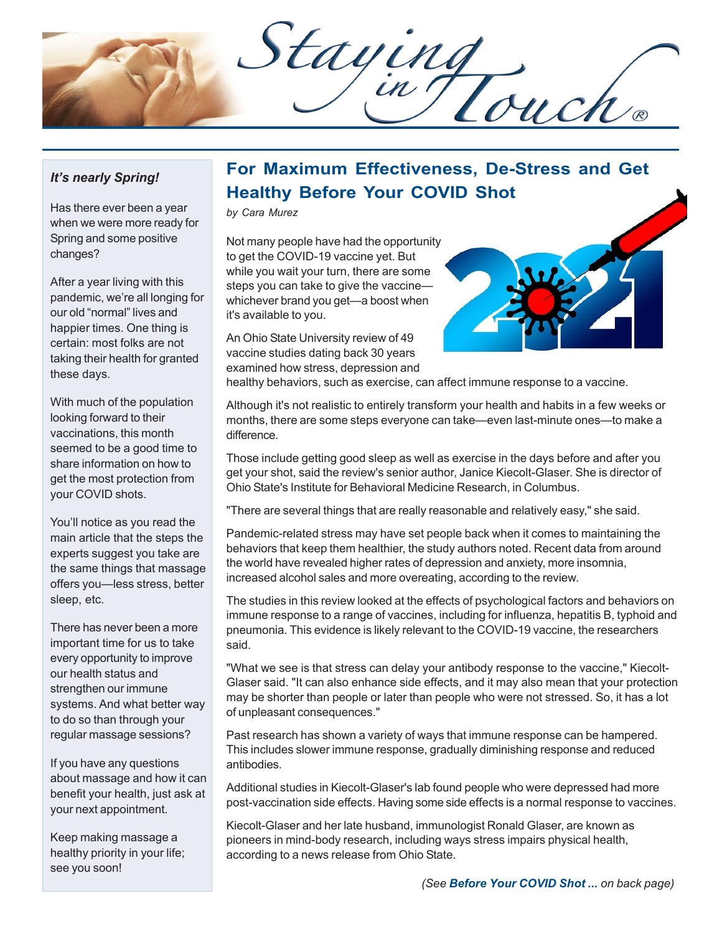Staying

## *It's nearly Spring!*

Has there ever been a year when we were more ready for Spring and some positive changes?

After a year living with this pandemic, we're all longing for our old "normal" lives and happier times. One thing is certain: most folks are not taking their health for granted these days.

With much of the population looking forward to their vaccinations, this month seemed to be a good time to share information on how to get the most protection from your COVID shots.

You'll notice as you read the main article that the steps the experts suggest you take are the same things that massage offers you—less stress, better sleep, etc.

There has never been a more important time for us to take every opportunity to improve our health status and strengthen our immune systems. And what better way to do so than through your regular massage sessions?

If you have any questions about massage and how it can benefit your health, just ask at your next appointment.

Keep making massage a healthy priority in your life; see you soon!

## **For Maximum Effectiveness, De-Stress and Get Healthy Before Your COVID Shot**

*by Cara Murez*

Not many people have had the opportunity to get the COVID-19 vaccine yet. But while you wait your turn, there are some steps you can take to give the vaccine whichever brand you get—a boost when it's available to you.

An Ohio State University review of 49 vaccine studies dating back 30 years examined how stress, depression and



healthy behaviors, such as exercise, can affect immune response to a vaccine.

Although it's not realistic to entirely transform your health and habits in a few weeks or months, there are some steps everyone can take—even last-minute ones—to make a difference.

Those include getting good sleep as well as exercise in the days before and after you get your shot, said the review's senior author, Janice Kiecolt-Glaser. She is director of Ohio State's Institute for Behavioral Medicine Research, in Columbus.

"There are several things that are really reasonable and relatively easy," she said.

Pandemic-related stress may have set people back when it comes to maintaining the behaviors that keep them healthier, the study authors noted. Recent data from around the world have revealed higher rates of depression and anxiety, more insomnia, increased alcohol sales and more overeating, according to the review.

The studies in this review looked at the effects of psychological factors and behaviors on immune response to a range of vaccines, including for influenza, hepatitis B, typhoid and pneumonia. This evidence is likely relevant to the COVID-19 vaccine, the researchers said.

"What we see is that stress can delay your antibody response to the vaccine," Kiecolt-Glaser said. "It can also enhance side effects, and it may also mean that your protection may be shorter than people or later than people who were not stressed. So, it has a lot of unpleasant consequences."

Past research has shown a variety of ways that immune response can be hampered. This includes slower immune response, gradually diminishing response and reduced antibodies.

Additional studies in Kiecolt-Glaser's lab found people who were depressed had more post-vaccination side effects. Having some side effects is a normal response to vaccines.

Kiecolt-Glaser and her late husband, immunologist Ronald Glaser, are known as pioneers in mind-body research, including ways stress impairs physical health, according to a news release from Ohio State.